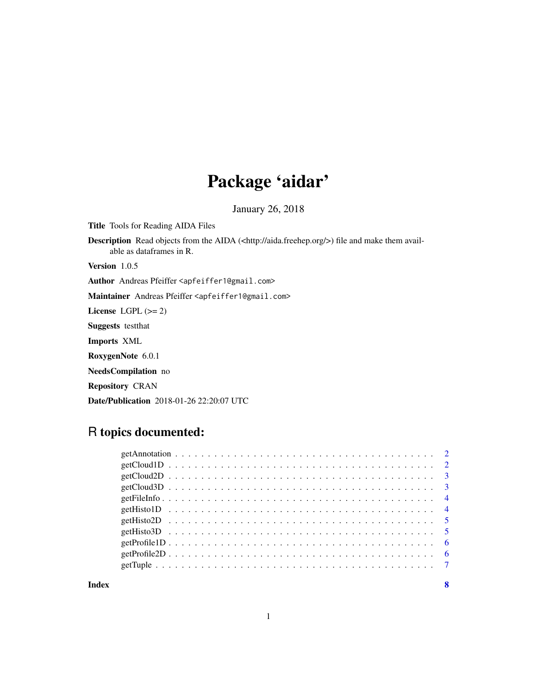## Package 'aidar'

January 26, 2018

Title Tools for Reading AIDA Files

Description Read objects from the AIDA (<http://aida.freehep.org/>) file and make them available as dataframes in R.

Version 1.0.5

Author Andreas Pfeiffer <apfeiffer1@gmail.com>

Maintainer Andreas Pfeiffer <apfeiffer1@gmail.com>

License LGPL  $(>= 2)$ 

Suggests testthat

Imports XML

RoxygenNote 6.0.1

NeedsCompilation no

Repository CRAN

Date/Publication 2018-01-26 22:20:07 UTC

### R topics documented:

**Index** [8](#page-7-0) **8**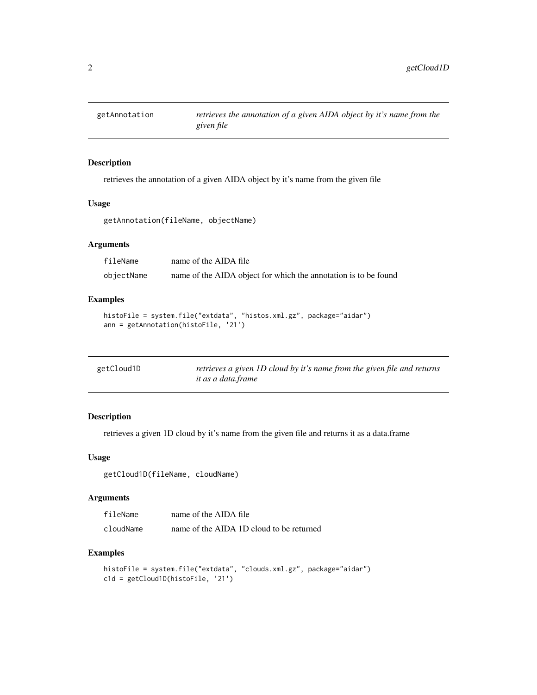<span id="page-1-0"></span>

retrieves the annotation of a given AIDA object by it's name from the given file

#### Usage

getAnnotation(fileName, objectName)

#### Arguments

fileName name of the AIDA file objectName name of the AIDA object for which the annotation is to be found

#### Examples

```
histoFile = system.file("extdata", "histos.xml.gz", package="aidar")
ann = getAnnotation(histoFile, '21')
```

| getCloud1D | retrieves a given 1D cloud by it's name from the given file and returns |
|------------|-------------------------------------------------------------------------|
|            | it as a data.frame                                                      |

#### Description

retrieves a given 1D cloud by it's name from the given file and returns it as a data.frame

#### Usage

getCloud1D(fileName, cloudName)

#### Arguments

| fileName  | name of the AIDA file                    |
|-----------|------------------------------------------|
| cloudName | name of the AIDA 1D cloud to be returned |

```
histoFile = system.file("extdata", "clouds.xml.gz", package="aidar")
c1d = getCloud1D(histoFile, '21')
```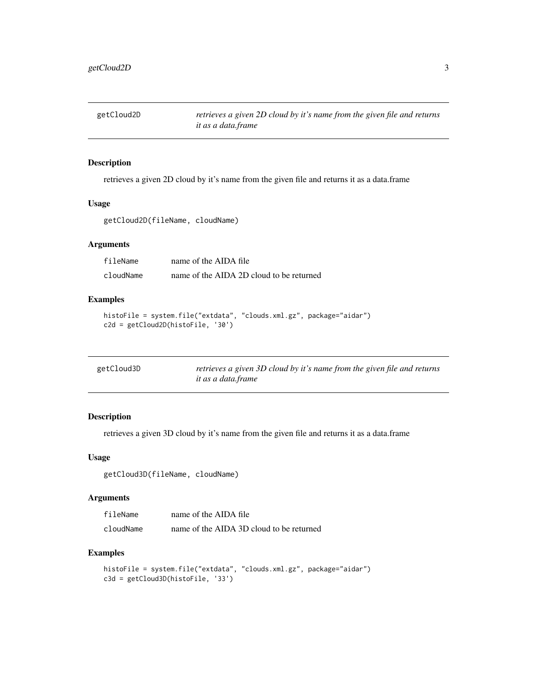<span id="page-2-0"></span>

retrieves a given 2D cloud by it's name from the given file and returns it as a data.frame

#### Usage

getCloud2D(fileName, cloudName)

#### Arguments

| fileName  | name of the AIDA file                    |
|-----------|------------------------------------------|
| cloudName | name of the AIDA 2D cloud to be returned |

#### Examples

```
histoFile = system.file("extdata", "clouds.xml.gz", package="aidar")
c2d = getCloud2D(histoFile, '30')
```

| getCloud3D | retrieves a given 3D cloud by it's name from the given file and returns |
|------------|-------------------------------------------------------------------------|
|            | it as a data.frame                                                      |

#### Description

retrieves a given 3D cloud by it's name from the given file and returns it as a data.frame

#### Usage

getCloud3D(fileName, cloudName)

#### Arguments

| fileName  | name of the AIDA file                    |
|-----------|------------------------------------------|
| cloudName | name of the AIDA 3D cloud to be returned |

```
histoFile = system.file("extdata", "clouds.xml.gz", package="aidar")
c3d = getCloud3D(histoFile, '33')
```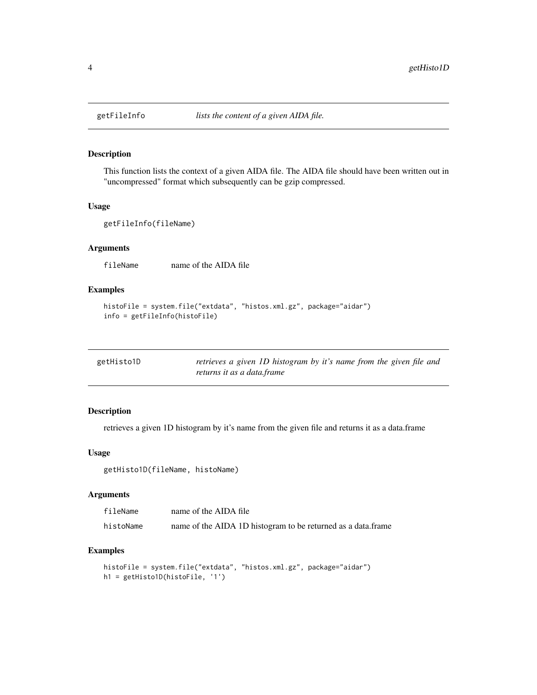This function lists the context of a given AIDA file. The AIDA file should have been written out in "uncompressed" format which subsequently can be gzip compressed.

#### Usage

```
getFileInfo(fileName)
```
#### Arguments

fileName name of the AIDA file

#### Examples

```
histoFile = system.file("extdata", "histos.xml.gz", package="aidar")
info = getFileInfo(histoFile)
```

| getHisto1D | retrieves a given 1D histogram by it's name from the given file and |
|------------|---------------------------------------------------------------------|
|            | returns it as a data.frame                                          |

#### Description

retrieves a given 1D histogram by it's name from the given file and returns it as a data.frame

#### Usage

```
getHisto1D(fileName, histoName)
```
#### Arguments

| fileName  | name of the AIDA file                                        |
|-----------|--------------------------------------------------------------|
| histoName | name of the AIDA 1D histogram to be returned as a data.frame |

```
histoFile = system.file("extdata", "histos.xml.gz", package="aidar")
h1 = getHisto1D(histoFile, '1')
```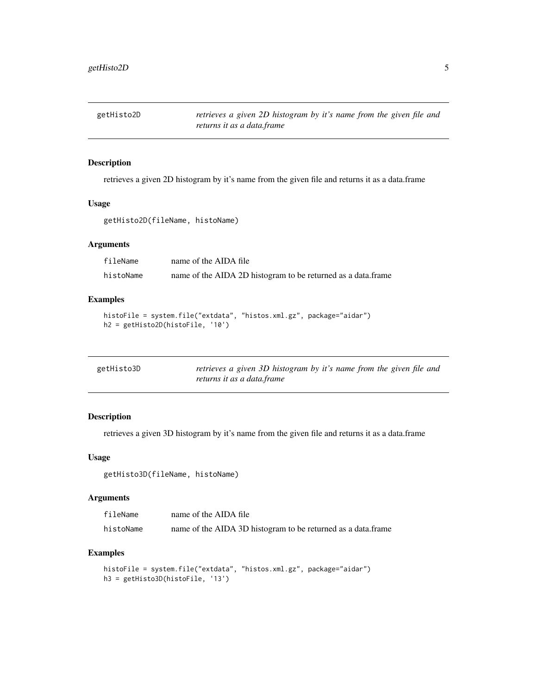<span id="page-4-0"></span>

retrieves a given 2D histogram by it's name from the given file and returns it as a data.frame

#### Usage

getHisto2D(fileName, histoName)

#### Arguments

| fileName  | name of the AIDA file                                        |
|-----------|--------------------------------------------------------------|
| histoName | name of the AIDA 2D histogram to be returned as a data.frame |

#### Examples

```
histoFile = system.file("extdata", "histos.xml.gz", package="aidar")
h2 = getHisto2D(histoFile, '10')
```

| getHisto3D | retrieves a given 3D histogram by it's name from the given file and |
|------------|---------------------------------------------------------------------|
|            | returns it as a data.frame                                          |

#### Description

retrieves a given 3D histogram by it's name from the given file and returns it as a data.frame

#### Usage

getHisto3D(fileName, histoName)

#### Arguments

| fileName  | name of the AIDA file                                        |
|-----------|--------------------------------------------------------------|
| histoName | name of the AIDA 3D histogram to be returned as a data.frame |

```
histoFile = system.file("extdata", "histos.xml.gz", package="aidar")
h3 = getHisto3D(histoFile, '13')
```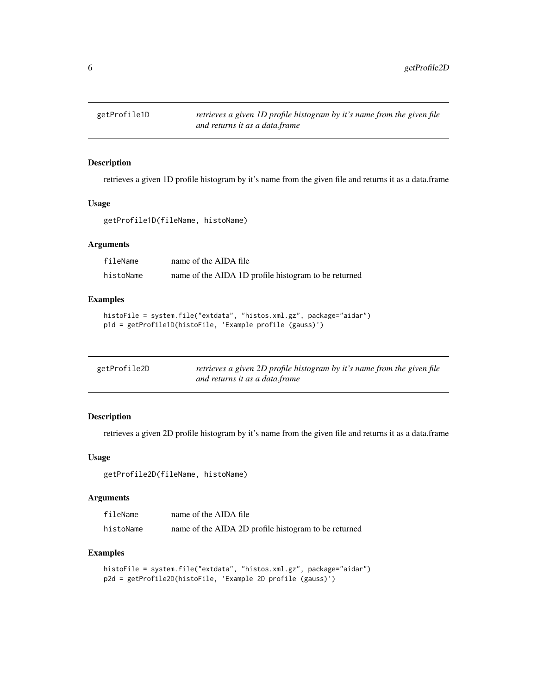<span id="page-5-0"></span>

retrieves a given 1D profile histogram by it's name from the given file and returns it as a data.frame

#### Usage

getProfile1D(fileName, histoName)

#### Arguments

| fileName  | name of the AIDA file                                |
|-----------|------------------------------------------------------|
| histoName | name of the AIDA 1D profile histogram to be returned |

#### Examples

```
histoFile = system.file("extdata", "histos.xml.gz", package="aidar")
p1d = getProfile1D(histoFile, 'Example profile (gauss)')
```

| getProfile2D | retrieves a given 2D profile histogram by it's name from the given file |
|--------------|-------------------------------------------------------------------------|
|              | and returns it as a data.frame                                          |

#### Description

retrieves a given 2D profile histogram by it's name from the given file and returns it as a data.frame

#### Usage

getProfile2D(fileName, histoName)

#### Arguments

| fileName  | name of the AIDA file                                |
|-----------|------------------------------------------------------|
| histoName | name of the AIDA 2D profile histogram to be returned |

```
histoFile = system.file("extdata", "histos.xml.gz", package="aidar")
p2d = getProfile2D(histoFile, 'Example 2D profile (gauss)')
```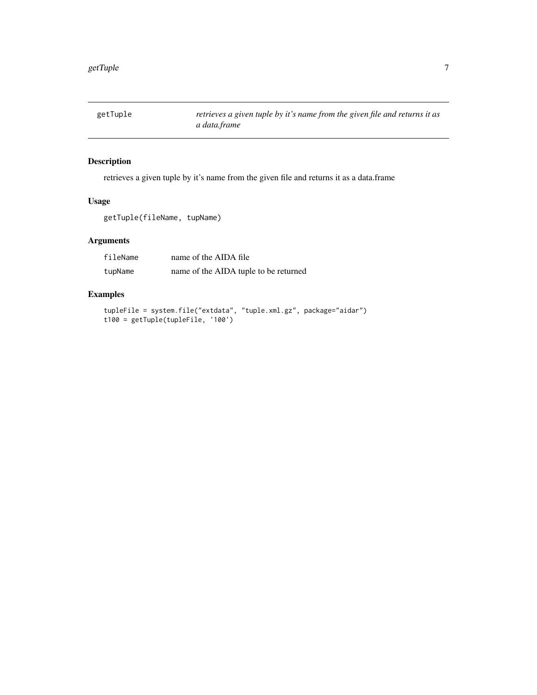<span id="page-6-0"></span>

retrieves a given tuple by it's name from the given file and returns it as a data.frame

#### Usage

getTuple(fileName, tupName)

#### Arguments

| fileName | name of the AIDA file                 |
|----------|---------------------------------------|
| tupName  | name of the AIDA tuple to be returned |

```
tupleFile = system.file("extdata", "tuple.xml.gz", package="aidar")
t100 = getTuple(tupleFile, '100')
```